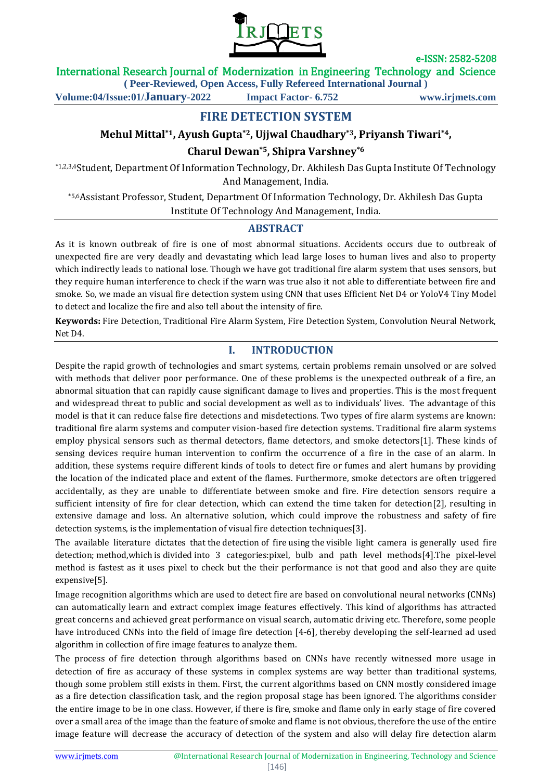

### International Research Journal of Modernization in Engineering Technology and Science

**( Peer-Reviewed, Open Access, Fully Refereed International Journal )**

**Volume:04/Issue:01/January-2022 Impact Factor- 6.752 www.irjmets.com**

**FIRE DETECTION SYSTEM**

# **Mehul Mittal\*1, Ayush Gupta\*2, Ujjwal Chaudhary\*3, Priyansh Tiwari\*4,**

### **Charul Dewan\*5, Shipra Varshney\*6**

\*1,2,3,4Student, Department Of Information Technology, Dr. Akhilesh Das Gupta Institute Of Technology And Management, India.

\*5,6Assistant Professor, Student, Department Of Information Technology, Dr. Akhilesh Das Gupta Institute Of Technology And Management, India.

## **ABSTRACT**

As it is known outbreak of fire is one of most abnormal situations. Accidents occurs due to outbreak of unexpected fire are very deadly and devastating which lead large loses to human lives and also to property which indirectly leads to national lose. Though we have got traditional fire alarm system that uses sensors, but they require human interference to check if the warn was true also it not able to differentiate between fire and smoke. So, we made an visual fire detection system using CNN that uses Efficient Net D4 or YoloV4 Tiny Model to detect and localize the fire and also tell about the intensity of fire.

**Keywords:** Fire Detection, Traditional Fire Alarm System, Fire Detection System, Convolution Neural Network, Net D4.

### **I. INTRODUCTION**

Despite the rapid growth of technologies and smart systems, certain problems remain unsolved or are solved with methods that deliver poor performance. One of these problems is the unexpected outbreak of a fire, an abnormal situation that can rapidly cause significant damage to lives and properties. This is the most frequent and widespread threat to public and social development as well as to individuals' lives. The advantage of this model is that it can reduce false fire detections and misdetections. Two types of fire alarm systems are known: traditional fire alarm systems and computer vision-based fire detection systems. Traditional fire alarm systems employ physical sensors such as thermal detectors, flame detectors, and smoke detectors[1]. These kinds of sensing devices require human intervention to confirm the occurrence of a fire in the case of an alarm. In addition, these systems require different kinds of tools to detect fire or fumes and alert humans by providing the location of the indicated place and extent of the flames. Furthermore, smoke detectors are often triggered accidentally, as they are unable to differentiate between smoke and fire. Fire detection sensors require a sufficient intensity of fire for clear detection, which can extend the time taken for detection[2], resulting in extensive damage and loss. An alternative solution, which could improve the robustness and safety of fire detection systems, is the implementation of visual fire detection techniques[3].

The available literature dictates that the detection of fire using the visible light camera is generally used fire detection; method,which is divided into 3 categories:pixel, bulb and path level methods[4].The pixel-level method is fastest as it uses pixel to check but the their performance is not that good and also they are quite expensive[5].

Image recognition algorithms which are used to detect fire are based on convolutional neural networks (CNNs) can automatically learn and extract complex image features effectively. This kind of algorithms has attracted great concerns and achieved great performance on visual search, automatic driving etc. Therefore, some people have introduced CNNs into the field of image fire detection [4-6], thereby developing the self-learned ad used algorithm in collection of fire image features to analyze them.

The process of fire detection through algorithms based on CNNs have recently witnessed more usage in detection of fire as accuracy of these systems in complex systems are way better than traditional systems, though some problem still exists in them. First, the current algorithms based on CNN mostly considered image as a fire detection classification task, and the region proposal stage has been ignored. The algorithms consider the entire image to be in one class. However, if there is fire, smoke and flame only in early stage of fire covered over a small area of the image than the feature of smoke and flame is not obvious, therefore the use of the entire image feature will decrease the accuracy of detection of the system and also will delay fire detection alarm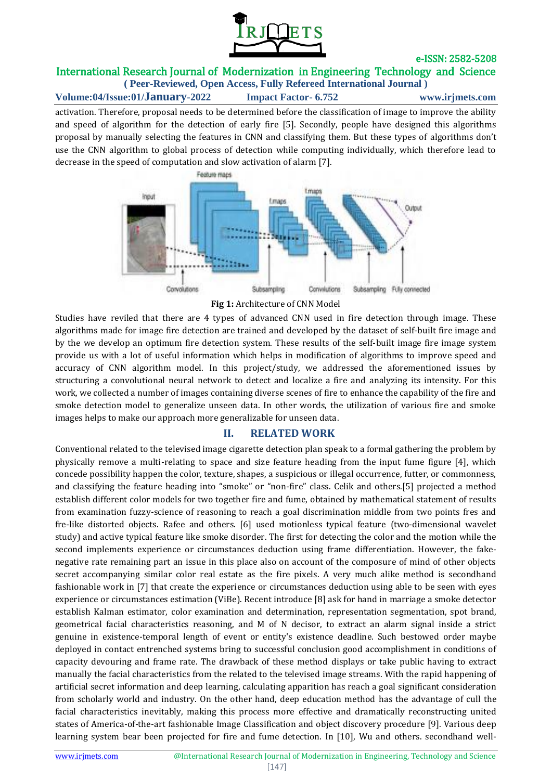

# International Research Journal of Modernization in Engineering Technology and Science

**( Peer-Reviewed, Open Access, Fully Refereed International Journal ) Volume:04/Issue:01/January-2022 Impact Factor- 6.752 www.irjmets.com**

activation. Therefore, proposal needs to be determined before the classification of image to improve the ability and speed of algorithm for the detection of early fire [5]. Secondly, people have designed this algorithms proposal by manually selecting the features in CNN and classifying them. But these types of algorithms don't use the CNN algorithm to global process of detection while computing individually, which therefore lead to decrease in the speed of computation and slow activation of alarm [7].



**Fig 1:** Architecture of CNN Model

Studies have reviled that there are 4 types of advanced CNN used in fire detection through image. These algorithms made for image fire detection are trained and developed by the dataset of self-built fire image and by the we develop an optimum fire detection system. These results of the self-built image fire image system provide us with a lot of useful information which helps in modification of algorithms to improve speed and accuracy of CNN algorithm model. In this project/study, we addressed the aforementioned issues by structuring a convolutional neural network to detect and localize a fire and analyzing its intensity. For this work, we collected a number of images containing diverse scenes of fire to enhance the capability of the fire and smoke detection model to generalize unseen data. In other words, the utilization of various fire and smoke images helps to make our approach more generalizable for unseen data.

#### **II. RELATED WORK**

Conventional related to the televised image cigarette detection plan speak to a formal gathering the problem by physically remove a multi-relating to space and size feature heading from the input fume figure [4], which concede possibility happen the color, texture, shapes, a suspicious or illegal occurrence, futter, or commonness, and classifying the feature heading into "smoke" or "non-fire" class. Celik and others.[5] projected a method establish different color models for two together fire and fume, obtained by mathematical statement of results from examination fuzzy-science of reasoning to reach a goal discrimination middle from two points fres and fre-like distorted objects. Rafee and others. [6] used motionless typical feature (two-dimensional wavelet study) and active typical feature like smoke disorder. The first for detecting the color and the motion while the second implements experience or circumstances deduction using frame differentiation. However, the fakenegative rate remaining part an issue in this place also on account of the composure of mind of other objects secret accompanying similar color real estate as the fire pixels. A very much alike method is secondhand fashionable work in [7] that create the experience or circumstances deduction using able to be seen with eyes experience or circumstances estimation (ViBe). Recent introduce [8] ask for hand in marriage a smoke detector establish Kalman estimator, color examination and determination, representation segmentation, spot brand, geometrical facial characteristics reasoning, and M of N decisor, to extract an alarm signal inside a strict genuine in existence-temporal length of event or entity's existence deadline. Such bestowed order maybe deployed in contact entrenched systems bring to successful conclusion good accomplishment in conditions of capacity devouring and frame rate. The drawback of these method displays or take public having to extract manually the facial characteristics from the related to the televised image streams. With the rapid happening of artificial secret information and deep learning, calculating apparition has reach a goal significant consideration from scholarly world and industry. On the other hand, deep education method has the advantage of cull the facial characteristics inevitably, making this process more effective and dramatically reconstructing united states of America-of-the-art fashionable Image Classification and object discovery procedure [9]. Various deep learning system bear been projected for fire and fume detection. In [10], Wu and others. secondhand well-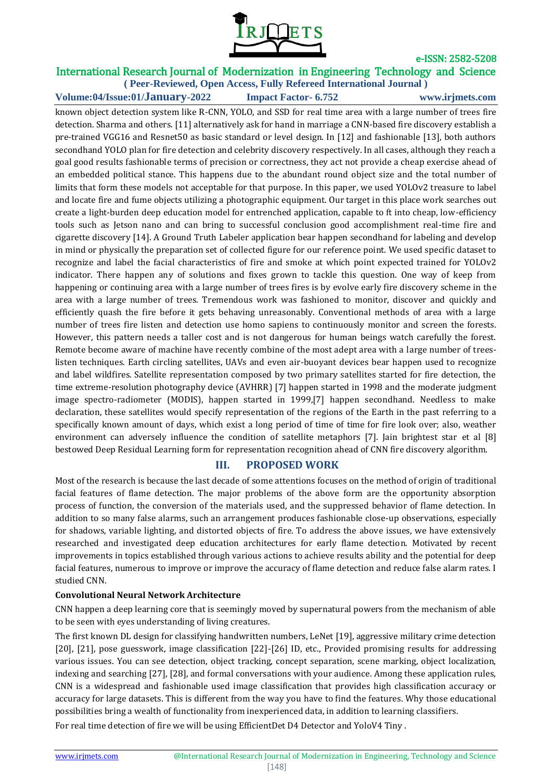

# International Research Journal of Modernization in Engineering Technology and Science

**( Peer-Reviewed, Open Access, Fully Refereed International Journal ) Volume:04/Issue:01/January-2022 Impact Factor- 6.752 www.irjmets.com**

known object detection system like R-CNN, YOLO, and SSD for real time area with a large number of trees fire detection. Sharma and others. [11] alternatively ask for hand in marriage a CNN-based fire discovery establish a pre-trained VGG16 and Resnet50 as basic standard or level design. In [12] and fashionable [13], both authors secondhand YOLO plan for fire detection and celebrity discovery respectively. In all cases, although they reach a goal good results fashionable terms of precision or correctness, they act not provide a cheap exercise ahead of an embedded political stance. This happens due to the abundant round object size and the total number of limits that form these models not acceptable for that purpose. In this paper, we used YOLOv2 treasure to label and locate fire and fume objects utilizing a photographic equipment. Our target in this place work searches out create a light-burden deep education model for entrenched application, capable to ft into cheap, low-efficiency tools such as Jetson nano and can bring to successful conclusion good accomplishment real-time fire and cigarette discovery [14]. A Ground Truth Labeler application bear happen secondhand for labeling and develop in mind or physically the preparation set of collected figure for our reference point. We used specific dataset to recognize and label the facial characteristics of fire and smoke at which point expected trained for YOLOv2 indicator. There happen any of solutions and fixes grown to tackle this question. One way of keep from happening or continuing area with a large number of trees fires is by evolve early fire discovery scheme in the area with a large number of trees. Tremendous work was fashioned to monitor, discover and quickly and efficiently quash the fire before it gets behaving unreasonably. Conventional methods of area with a large number of trees fire listen and detection use homo sapiens to continuously monitor and screen the forests. However, this pattern needs a taller cost and is not dangerous for human beings watch carefully the forest. Remote become aware of machine have recently combine of the most adept area with a large number of treeslisten techniques. Earth circling satellites, UAVs and even air-buoyant devices bear happen used to recognize and label wildfires. Satellite representation composed by two primary satellites started for fire detection, the time extreme-resolution photography device (AVHRR) [7] happen started in 1998 and the moderate judgment image spectro-radiometer (MODIS), happen started in 1999,[7] happen secondhand. Needless to make declaration, these satellites would specify representation of the regions of the Earth in the past referring to a specifically known amount of days, which exist a long period of time of time for fire look over; also, weather environment can adversely influence the condition of satellite metaphors [7]. Jain brightest star et al [8] bestowed Deep Residual Learning form for representation recognition ahead of CNN fire discovery algorithm.

### **III. PROPOSED WORK**

Most of the research is because the last decade of some attentions focuses on the method of origin of traditional facial features of flame detection. The major problems of the above form are the opportunity absorption process of function, the conversion of the materials used, and the suppressed behavior of flame detection. In addition to so many false alarms, such an arrangement produces fashionable close-up observations, especially for shadows, variable lighting, and distorted objects of fire. To address the above issues, we have extensively researched and investigated deep education architectures for early flame detection. Motivated by recent improvements in topics established through various actions to achieve results ability and the potential for deep facial features, numerous to improve or improve the accuracy of flame detection and reduce false alarm rates. I studied CNN.

#### **Convolutional Neural Network Architecture**

CNN happen a deep learning core that is seemingly moved by supernatural powers from the mechanism of able to be seen with eyes understanding of living creatures.

The first known DL design for classifying handwritten numbers, LeNet [19], aggressive military crime detection [20], [21], pose guesswork, image classification [22]-[26] ID, etc., Provided promising results for addressing various issues. You can see detection, object tracking, concept separation, scene marking, object localization, indexing and searching [27], [28], and formal conversations with your audience. Among these application rules, CNN is a widespread and fashionable used image classification that provides high classification accuracy or accuracy for large datasets. This is different from the way you have to find the features. Why those educational possibilities bring a wealth of functionality from inexperienced data, in addition to learning classifiers.

For real time detection of fire we will be using EfficientDet D4 Detector and YoloV4 Tiny .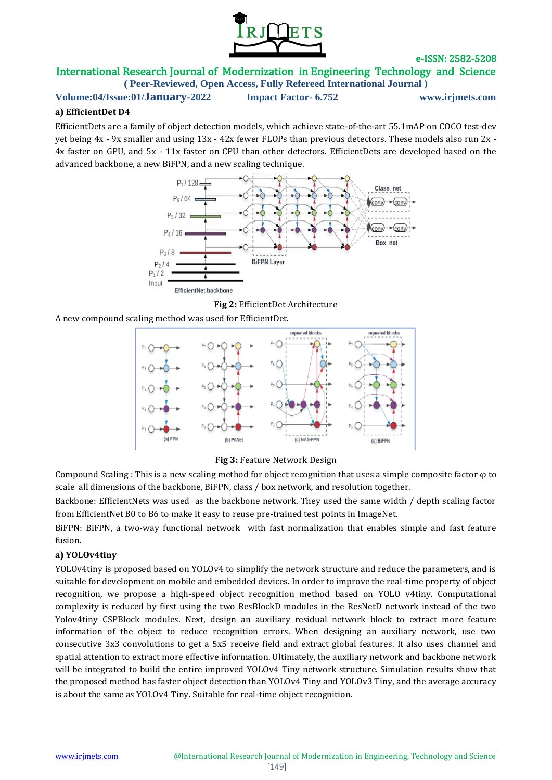

# International Research Journal of Modernization in Engineering Technology and Science

**( Peer-Reviewed, Open Access, Fully Refereed International Journal ) Volume:04/Issue:01/January-2022 Impact Factor- 6.752 www.irjmets.com**

#### **a) EfficientDet D4**

EfficientDets are a family of object detection models, which achieve state-of-the-art 55.1mAP on COCO test-dev yet being 4x - 9x smaller and using 13x - 42x fewer FLOPs than previous detectors. These models also run 2x - 4x faster on GPU, and 5x - 11x faster on CPU than other detectors. EfficientDets are developed based on the advanced backbone, a new BiFPN, and a new scaling technique.



**Fig 2:** EfficientDet Architecture

A new compound scaling method was used for EfficientDet.



**Fig 3:** Feature Network Design

Compound Scaling : This is a new scaling method for object recognition that uses a simple composite factor  $\varphi$  to scale all dimensions of the backbone, BiFPN, class / box network, and resolution together.

Backbone: EfficientNets was used as the backbone network. They used the same width / depth scaling factor from EfficientNet B0 to B6 to make it easy to reuse pre-trained test points in ImageNet.

BiFPN: BiFPN, a two-way functional network with fast normalization that enables simple and fast feature fusion.

#### **a) YOLOv4tiny**

YOLOv4tiny is proposed based on YOLOv4 to simplify the network structure and reduce the parameters, and is suitable for development on mobile and embedded devices. In order to improve the real-time property of object recognition, we propose a high-speed object recognition method based on YOLO v4tiny. Computational complexity is reduced by first using the two ResBlockD modules in the ResNetD network instead of the two Yolov4tiny CSPBlock modules. Next, design an auxiliary residual network block to extract more feature information of the object to reduce recognition errors. When designing an auxiliary network, use two consecutive 3x3 convolutions to get a 5x5 receive field and extract global features. It also uses channel and spatial attention to extract more effective information. Ultimately, the auxiliary network and backbone network will be integrated to build the entire improved YOLOv4 Tiny network structure. Simulation results show that the proposed method has faster object detection than YOLOv4 Tiny and YOLOv3 Tiny, and the average accuracy is about the same as YOLOv4 Tiny. Suitable for real-time object recognition.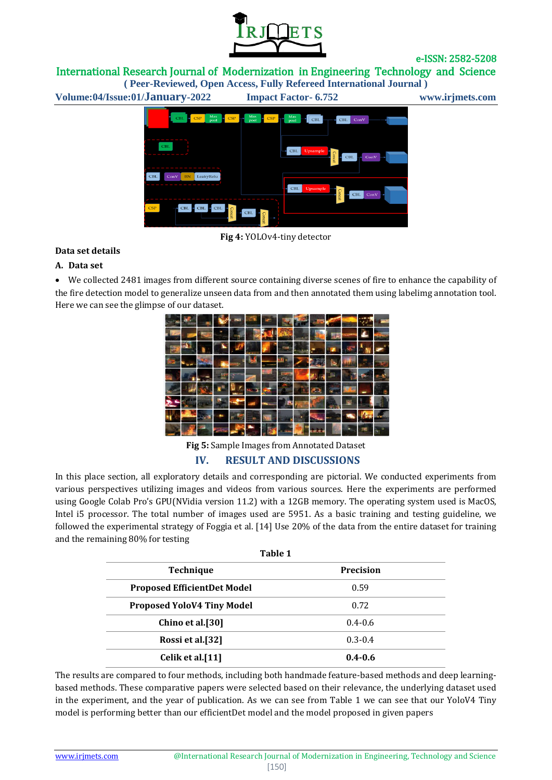

International Research Journal of Modernization in Engineering Technology and Science **( Peer-Reviewed, Open Access, Fully Refereed International Journal )**

**Volume:04/Issue:01/January-2022 Impact Factor- 6.752 www.irjmets.com**



**Fig 4:** YOLOv4-tiny detector

#### **Data set details**

#### **A. Data set**

 We collected 2481 images from different source containing diverse scenes of fire to enhance the capability of the fire detection model to generalize unseen data from and then annotated them using labelimg annotation tool. Here we can see the glimpse of our dataset.



**Fig 5:** Sample Images from Annotated Dataset

#### **IV. RESULT AND DISCUSSIONS**

In this place section, all exploratory details and corresponding are pictorial. We conducted experiments from various perspectives utilizing images and videos from various sources. Here the experiments are performed using Google Colab Pro's GPU(NVidia version 11.2) with a 12GB memory. The operating system used is MacOS, Intel i5 processor. The total number of images used are 5951. As a basic training and testing guideline, we followed the experimental strategy of Foggia et al. [14] Use 20% of the data from the entire dataset for training and the remaining 80% for testing

| Table 1                            |                  |
|------------------------------------|------------------|
| <b>Technique</b>                   | <b>Precision</b> |
| <b>Proposed EfficientDet Model</b> | 0.59             |
| <b>Proposed YoloV4 Tiny Model</b>  | 0.72             |
| Chino et al.[30]                   | $0.4 - 0.6$      |
| Rossi et al.[32]                   | $0.3 - 0.4$      |
| Celik et al.[11]                   | $0.4 - 0.6$      |

The results are compared to four methods, including both handmade feature-based methods and deep learningbased methods. These comparative papers were selected based on their relevance, the underlying dataset used in the experiment, and the year of publication. As we can see from Table 1 we can see that our YoloV4 Tiny model is performing better than our efficientDet model and the model proposed in given papers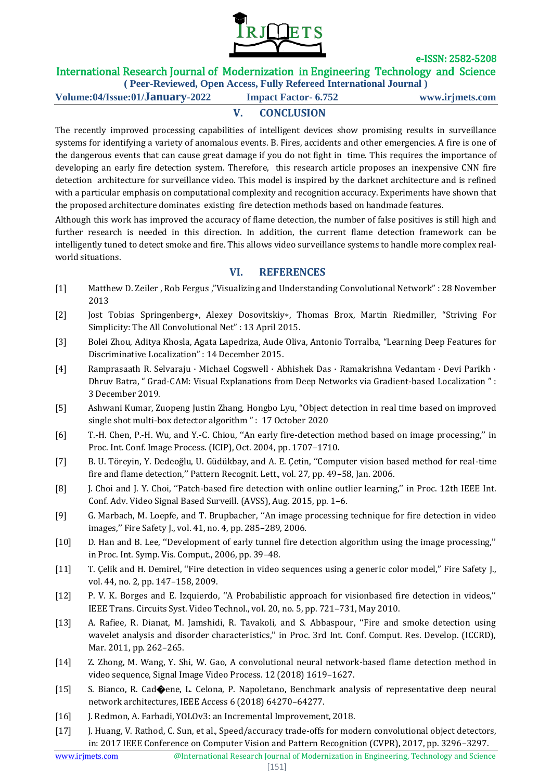

# International Research Journal of Modernization in Engineering Technology and Science

**( Peer-Reviewed, Open Access, Fully Refereed International Journal )**

**Volume:04/Issue:01/January-2022 Impact Factor- 6.752 www.irjmets.com**

# **V. CONCLUSION**

The recently improved processing capabilities of intelligent devices show promising results in surveillance systems for identifying a variety of anomalous events. B. Fires, accidents and other emergencies. A fire is one of the dangerous events that can cause great damage if you do not fight in time. This requires the importance of developing an early fire detection system. Therefore, this research article proposes an inexpensive CNN fire detection architecture for surveillance video. This model is inspired by the darknet architecture and is refined with a particular emphasis on computational complexity and recognition accuracy. Experiments have shown that the proposed architecture dominates existing fire detection methods based on handmade features.

Although this work has improved the accuracy of flame detection, the number of false positives is still high and further research is needed in this direction. In addition, the current flame detection framework can be intelligently tuned to detect smoke and fire. This allows video surveillance systems to handle more complex realworld situations.

### **VI. REFERENCES**

- [1] Matthew D. Zeiler , Rob Fergus ,"Visualizing and Understanding Convolutional Network" : 28 November 2013
- [2] Jost Tobias Springenberg∗, Alexey Dosovitskiy∗, Thomas Brox, Martin Riedmiller, "Striving For Simplicity: The All Convolutional Net" : 13 April 2015.
- [3] Bolei Zhou, Aditya Khosla, Agata Lapedriza, Aude Oliva, Antonio Torralba, "Learning Deep Features for Discriminative Localization" : 14 December 2015.
- [4] Ramprasaath R. Selvaraju · Michael Cogswell · Abhishek Das · Ramakrishna Vedantam · Devi Parikh · Dhruv Batra, " Grad-CAM: Visual Explanations from Deep Networks via Gradient-based Localization " : 3 December 2019.
- [5] Ashwani Kumar, Zuopeng Justin Zhang, Hongbo Lyu, "Object detection in real time based on improved single shot multi-box detector algorithm" : 17 October 2020
- [6] T.-H. Chen, P.-H. Wu, and Y.-C. Chiou, ''An early fire-detection method based on image processing,'' in Proc. Int. Conf. Image Process. (ICIP), Oct. 2004, pp. 1707–1710.
- [7] B. U. Töreyin, Y. Dedeoğlu, U. Güdükbay, and A. E. Çetin, ''Computer vision based method for real-time fire and flame detection,'' Pattern Recognit. Lett., vol. 27, pp. 49–58, Jan. 2006.
- [8] J. Choi and J. Y. Choi, ''Patch-based fire detection with online outlier learning,'' in Proc. 12th IEEE Int. Conf. Adv. Video Signal Based Surveill. (AVSS), Aug. 2015, pp. 1–6.
- [9] G. Marbach, M. Loepfe, and T. Brupbacher, ''An image processing technique for fire detection in video images,'' Fire Safety J., vol. 41, no. 4, pp. 285–289, 2006.
- [10] D. Han and B. Lee, ''Development of early tunnel fire detection algorithm using the image processing,'' in Proc. Int. Symp. Vis. Comput., 2006, pp. 39–48.
- [11] T. Çelik and H. Demirel, "Fire detection in video sequences using a generic color model," Fire Safety J., vol. 44, no. 2, pp. 147–158, 2009.
- [12] P. V. K. Borges and E. Izquierdo, ''A Probabilistic approach for visionbased fire detection in videos,'' IEEE Trans. Circuits Syst. Video Technol., vol. 20, no. 5, pp. 721–731, May 2010.
- [13] A. Rafiee, R. Dianat, M. Jamshidi, R. Tavakoli, and S. Abbaspour, ''Fire and smoke detection using wavelet analysis and disorder characteristics,'' in Proc. 3rd Int. Conf. Comput. Res. Develop. (ICCRD), Mar. 2011, pp. 262–265.
- [14] Z. Zhong, M. Wang, Y. Shi, W. Gao, A convolutional neural network-based flame detection method in video sequence, Signal Image Video Process. 12 (2018) 1619–1627.
- [15] S. Bianco, R. Cad�ene, L. Celona, P. Napoletano, Benchmark analysis of representative deep neural network architectures, IEEE Access 6 (2018) 64270–64277.
- [16] J. Redmon, A. Farhadi, YOLOv3: an Incremental Improvement, 2018.
- [17] J. Huang, V. Rathod, C. Sun, et al., Speed/accuracy trade-offs for modern convolutional object detectors, in: 2017 IEEE Conference on Computer Vision and Pattern Recognition (CVPR), 2017, pp. 3296–3297.